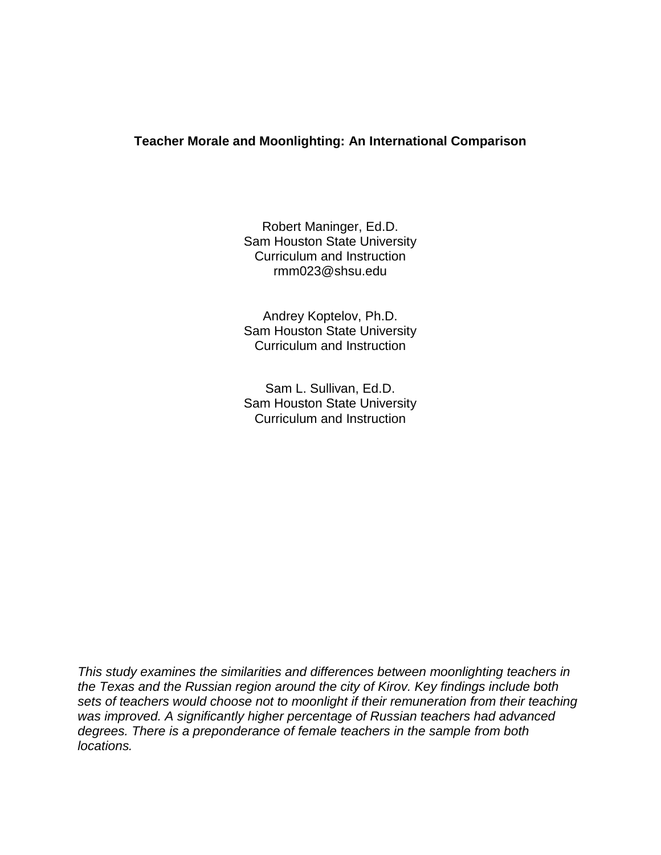# **Teacher Morale and Moonlighting: An International Comparison**

Robert Maninger, Ed.D. Sam Houston State University Curriculum and Instruction rmm023@shsu.edu

Andrey Koptelov, Ph.D. Sam Houston State University Curriculum and Instruction

Sam L. Sullivan, Ed.D. Sam Houston State University Curriculum and Instruction

*This study examines the similarities and differences between moonlighting teachers in the Texas and the Russian region around the city of Kirov. Key findings include both sets of teachers would choose not to moonlight if their remuneration from their teaching was improved. A significantly higher percentage of Russian teachers had advanced degrees. There is a preponderance of female teachers in the sample from both locations.*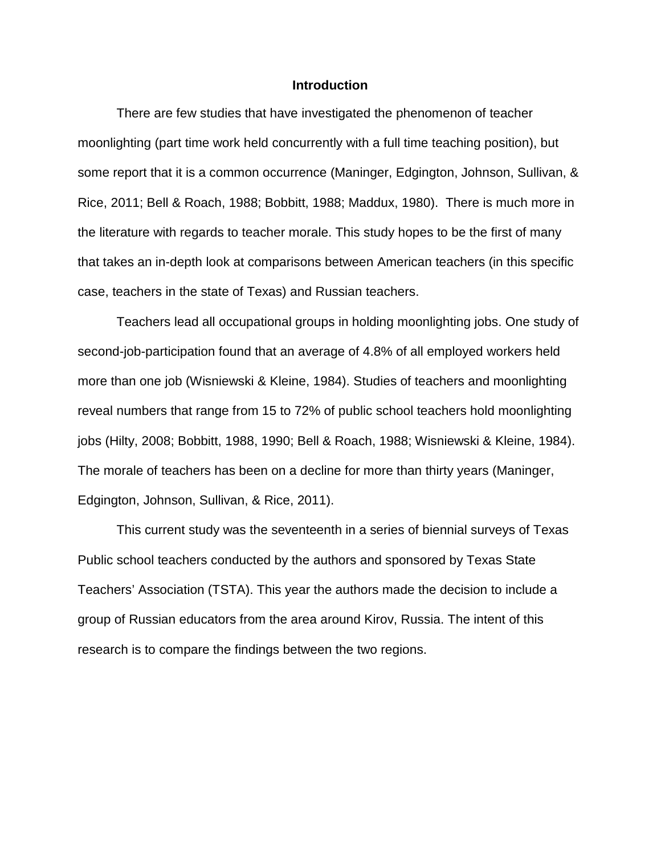## **Introduction**

There are few studies that have investigated the phenomenon of teacher moonlighting (part time work held concurrently with a full time teaching position), but some report that it is a common occurrence (Maninger, Edgington, Johnson, Sullivan, & Rice, 2011; Bell & Roach, 1988; Bobbitt, 1988; Maddux, 1980). There is much more in the literature with regards to teacher morale. This study hopes to be the first of many that takes an in-depth look at comparisons between American teachers (in this specific case, teachers in the state of Texas) and Russian teachers.

Teachers lead all occupational groups in holding moonlighting jobs. One study of second-job-participation found that an average of 4.8% of all employed workers held more than one job (Wisniewski & Kleine, 1984). Studies of teachers and moonlighting reveal numbers that range from 15 to 72% of public school teachers hold moonlighting jobs (Hilty, 2008; Bobbitt, 1988, 1990; Bell & Roach, 1988; Wisniewski & Kleine, 1984). The morale of teachers has been on a decline for more than thirty years (Maninger, Edgington, Johnson, Sullivan, & Rice, 2011).

This current study was the seventeenth in a series of biennial surveys of Texas Public school teachers conducted by the authors and sponsored by Texas State Teachers' Association (TSTA). This year the authors made the decision to include a group of Russian educators from the area around Kirov, Russia. The intent of this research is to compare the findings between the two regions.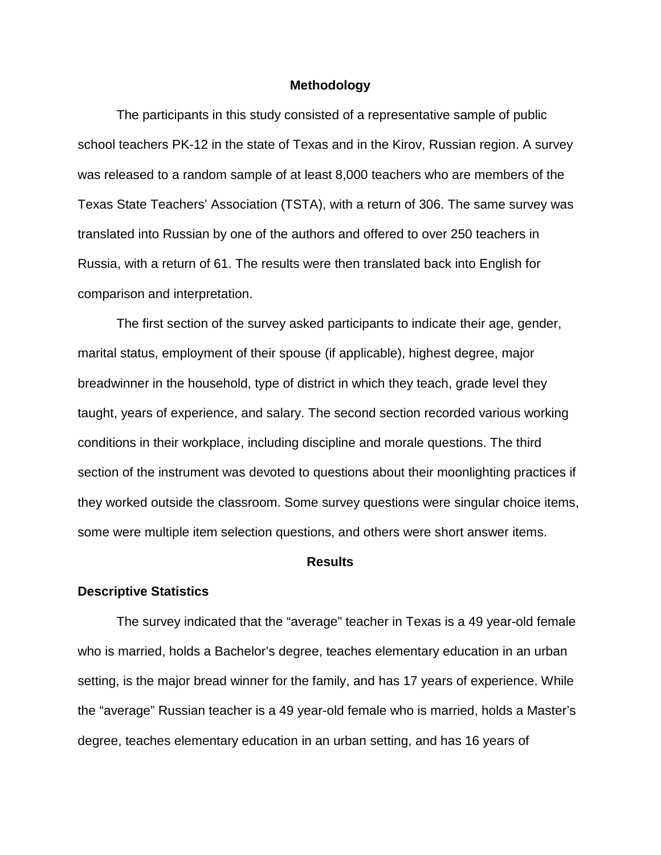## **Methodology**

The participants in this study consisted of a representative sample of public school teachers PK-12 in the state of Texas and in the Kirov, Russian region. A survey was released to a random sample of at least 8,000 teachers who are members of the Texas State Teachers' Association (TSTA), with a return of 306. The same survey was translated into Russian by one of the authors and offered to over 250 teachers in Russia, with a return of 61. The results were then translated back into English for comparison and interpretation.

The first section of the survey asked participants to indicate their age, gender, marital status, employment of their spouse (if applicable), highest degree, major breadwinner in the household, type of district in which they teach, grade level they taught, years of experience, and salary. The second section recorded various working conditions in their workplace, including discipline and morale questions. The third section of the instrument was devoted to questions about their moonlighting practices if they worked outside the classroom. Some survey questions were singular choice items, some were multiple item selection questions, and others were short answer items.

## **Results**

#### **Descriptive Statistics**

The survey indicated that the "average" teacher in Texas is a 49 year-old female who is married, holds a Bachelor's degree, teaches elementary education in an urban setting, is the major bread winner for the family, and has 17 years of experience. While the "average" Russian teacher is a 49 year-old female who is married, holds a Master's degree, teaches elementary education in an urban setting, and has 16 years of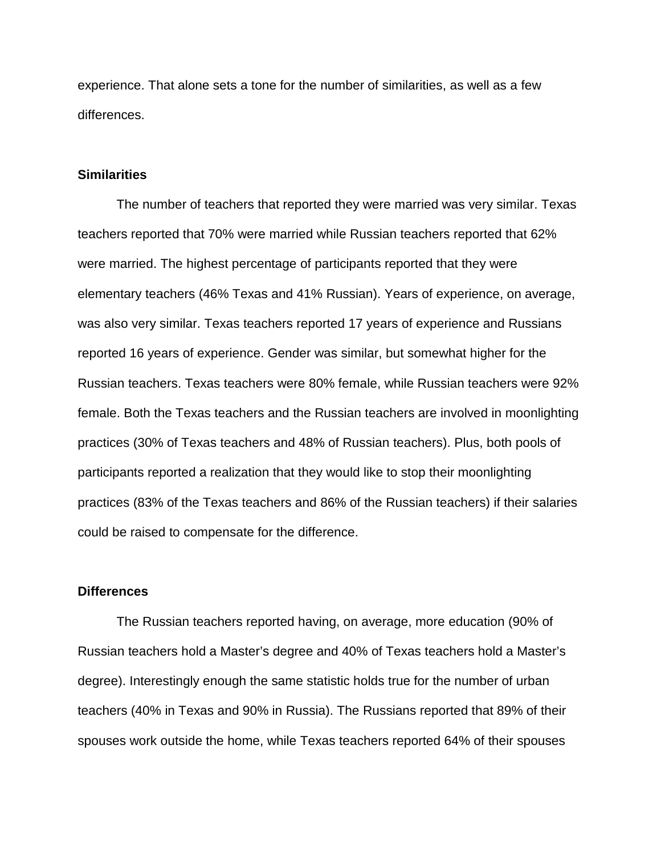experience. That alone sets a tone for the number of similarities, as well as a few differences.

# **Similarities**

The number of teachers that reported they were married was very similar. Texas teachers reported that 70% were married while Russian teachers reported that 62% were married. The highest percentage of participants reported that they were elementary teachers (46% Texas and 41% Russian). Years of experience, on average, was also very similar. Texas teachers reported 17 years of experience and Russians reported 16 years of experience. Gender was similar, but somewhat higher for the Russian teachers. Texas teachers were 80% female, while Russian teachers were 92% female. Both the Texas teachers and the Russian teachers are involved in moonlighting practices (30% of Texas teachers and 48% of Russian teachers). Plus, both pools of participants reported a realization that they would like to stop their moonlighting practices (83% of the Texas teachers and 86% of the Russian teachers) if their salaries could be raised to compensate for the difference.

## **Differences**

The Russian teachers reported having, on average, more education (90% of Russian teachers hold a Master's degree and 40% of Texas teachers hold a Master's degree). Interestingly enough the same statistic holds true for the number of urban teachers (40% in Texas and 90% in Russia). The Russians reported that 89% of their spouses work outside the home, while Texas teachers reported 64% of their spouses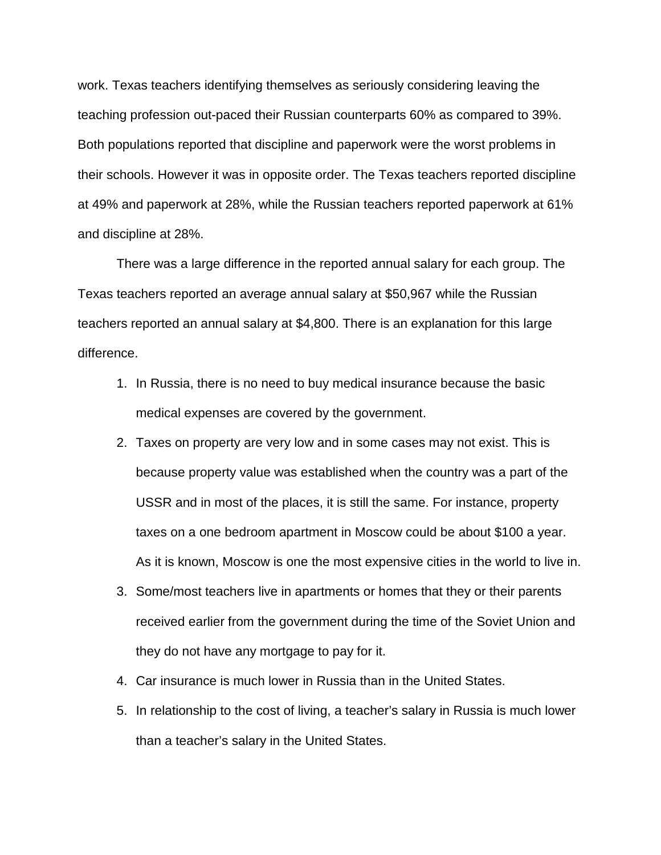work. Texas teachers identifying themselves as seriously considering leaving the teaching profession out-paced their Russian counterparts 60% as compared to 39%. Both populations reported that discipline and paperwork were the worst problems in their schools. However it was in opposite order. The Texas teachers reported discipline at 49% and paperwork at 28%, while the Russian teachers reported paperwork at 61% and discipline at 28%.

There was a large difference in the reported annual salary for each group. The Texas teachers reported an average annual salary at \$50,967 while the Russian teachers reported an annual salary at \$4,800. There is an explanation for this large difference.

- 1. In Russia, there is no need to buy medical insurance because the basic medical expenses are covered by the government.
- 2. Taxes on property are very low and in some cases may not exist. This is because property value was established when the country was a part of the USSR and in most of the places, it is still the same. For instance, property taxes on a one bedroom apartment in Moscow could be about \$100 a year. As it is known, Moscow is one the most expensive cities in the world to live in.
- 3. Some/most teachers live in apartments or homes that they or their parents received earlier from the government during the time of the Soviet Union and they do not have any mortgage to pay for it.
- 4. Car insurance is much lower in Russia than in the United States.
- 5. In relationship to the cost of living, a teacher's salary in Russia is much lower than a teacher's salary in the United States.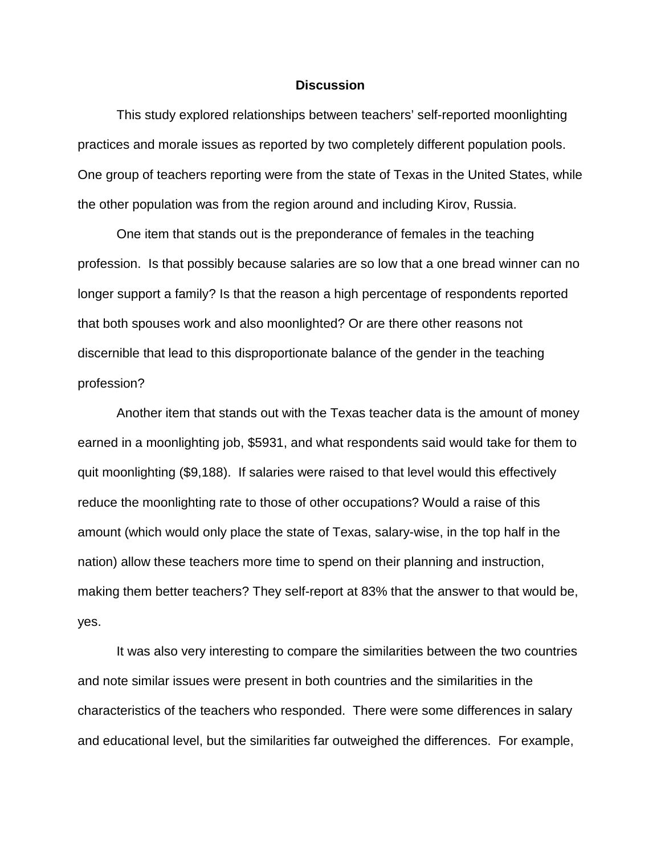## **Discussion**

This study explored relationships between teachers' self-reported moonlighting practices and morale issues as reported by two completely different population pools. One group of teachers reporting were from the state of Texas in the United States, while the other population was from the region around and including Kirov, Russia.

One item that stands out is the preponderance of females in the teaching profession. Is that possibly because salaries are so low that a one bread winner can no longer support a family? Is that the reason a high percentage of respondents reported that both spouses work and also moonlighted? Or are there other reasons not discernible that lead to this disproportionate balance of the gender in the teaching profession?

Another item that stands out with the Texas teacher data is the amount of money earned in a moonlighting job, \$5931, and what respondents said would take for them to quit moonlighting (\$9,188). If salaries were raised to that level would this effectively reduce the moonlighting rate to those of other occupations? Would a raise of this amount (which would only place the state of Texas, salary-wise, in the top half in the nation) allow these teachers more time to spend on their planning and instruction, making them better teachers? They self-report at 83% that the answer to that would be, yes.

It was also very interesting to compare the similarities between the two countries and note similar issues were present in both countries and the similarities in the characteristics of the teachers who responded. There were some differences in salary and educational level, but the similarities far outweighed the differences. For example,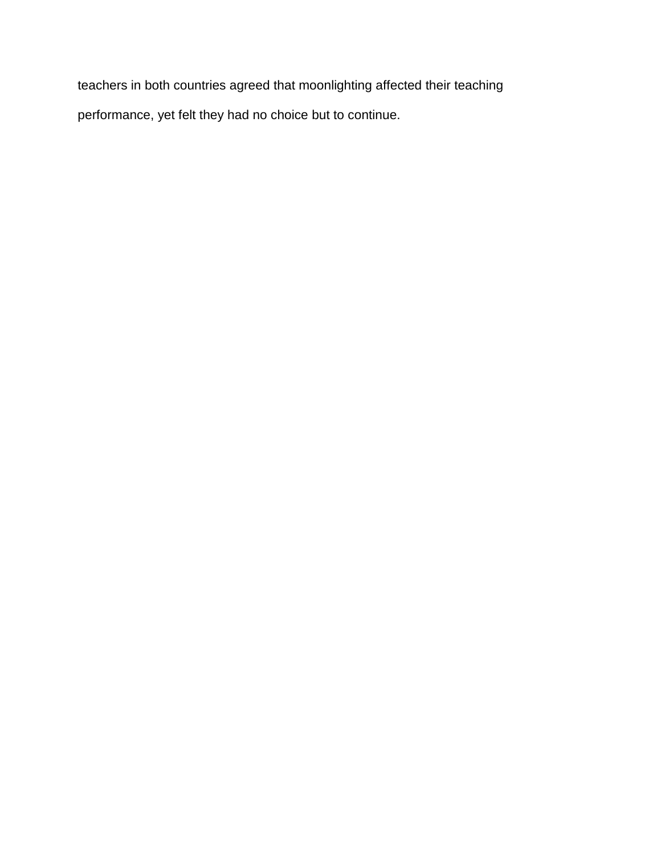teachers in both countries agreed that moonlighting affected their teaching performance, yet felt they had no choice but to continue.